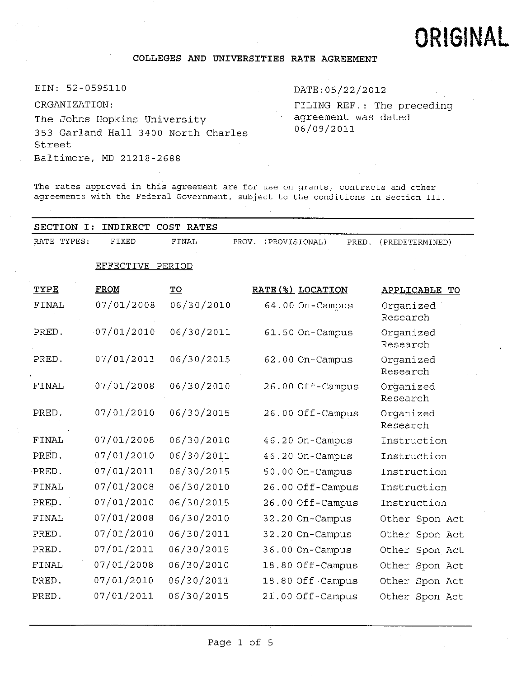# ORIGINAL

## **COLLEGES AND UNIVERSITIES RATE AGREEMENT**

EIN: <sup>52</sup>-<sup>0595110</sup> DATE:05/22/<sup>2012</sup>

ORGANIZATION: The Johns Hopkins University-353 Garland Hall 3400 North Charles Street Baltimore, MD 21218-2688

FILING REF.: The preceding agreement was dated 06/09/2011

The rates approved in this agreement are for use on grants, contracts and other agreements with the Federal Government, subject to the conditions in Section III.

| SECTION I:<br>INDIRECT COST RATES |                  |                         |                        |                       |  |  |  |  |
|-----------------------------------|------------------|-------------------------|------------------------|-----------------------|--|--|--|--|
| RATE TYPES:                       | FIXED            | FINAL<br>PROV.          | (PROVISIONAL)<br>PRED. | (PREDETERMINED)       |  |  |  |  |
|                                   | EFFECTIVE PERIOD |                         |                        |                       |  |  |  |  |
| TYPE                              | FROM             | $\underline{\text{TO}}$ | RATE (%) LOCATION      | APPLICABLE TO         |  |  |  |  |
| FINAL                             | 07/01/2008       | 06/30/2010              | 64.00 On-Campus        | Organized<br>Research |  |  |  |  |
| PRED.                             | 07/01/2010       | 06/30/2011              | 61.50 On-Campus        | Organized<br>Research |  |  |  |  |
| PRED.                             | 07/01/2011       | 06/30/2015              | 62.00 On-Campus        | Organized<br>Research |  |  |  |  |
| <b>FINAL</b>                      | 07/01/2008       | 06/30/2010              | 26.00 Off-Campus       | Organized<br>Research |  |  |  |  |
| PRED.                             | 07/01/2010       | 06/30/2015              | 26.00 Off-Campus       | Organized<br>Research |  |  |  |  |
| <b>FINAL</b>                      | 07/01/2008       | 06/30/2010              | 46.20 On-Campus        | Instruction           |  |  |  |  |
| PRED.                             | 07/01/2010       | 06/30/2011              | 46.20 On-Campus        | Instruction           |  |  |  |  |
| PRED.                             | 07/01/2011       | 06/30/2015              | 50.00 On-Campus        | Instruction           |  |  |  |  |
| FINAL                             | 07/01/2008       | 06/30/2010              | 26.00 Off-Campus       | Instruction           |  |  |  |  |
| PRED.                             | 07/01/2010       | 06/30/2015              | 26.00 Off-Campus       | Instruction           |  |  |  |  |
| FINAL                             | 07/01/2008       | 06/30/2010              | 32.20 On-Campus        | Other Spon Act        |  |  |  |  |
| PRED.                             | 07/01/2010       | 06/30/2011              | 32.20 On-Campus        | Other Spon Act        |  |  |  |  |
| PRED.                             | 07/01/2011       | 06/30/2015              | 36.00 On-Campus        | Other Spon Act        |  |  |  |  |
| FINAL                             | 07/01/2008       | 06/30/2010              | 18.80 Off-Campus       | Other Spon Act        |  |  |  |  |
| PRED.                             | 07/01/2010       | 06/30/2011              | 18.80 Off-Campus       | Other Spon Act        |  |  |  |  |
| PRED.                             | 07/01/2011       | 06/30/2015              | 21.00 Off-Campus       | Other Spon Act        |  |  |  |  |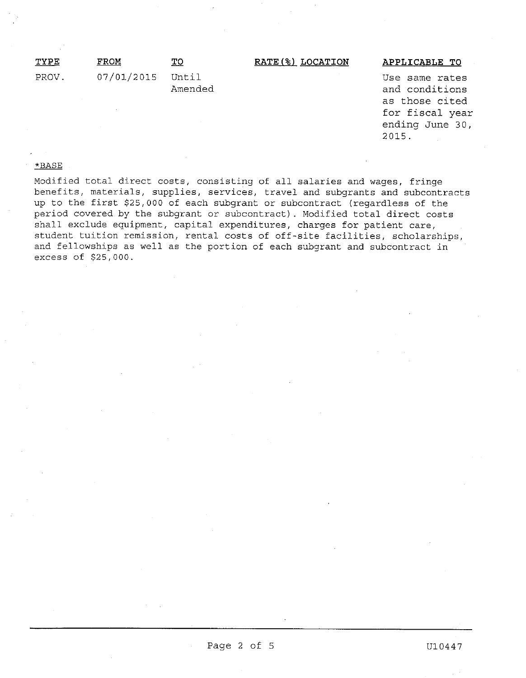| TYPE  | FROM             | то      | RATE(%) LOCATION | APPLICABLE TO  |
|-------|------------------|---------|------------------|----------------|
| PROV. | 07/01/2015 Until |         |                  | Use same rates |
|       |                  | Amended |                  | and conditions |

ans as those cited for fiscal year ending June <sup>30</sup>, 2015.

## \*BASE

Modified total direct costs, consisting of all salaries and wages, fringe benefits, materials, supplies, services, travel and subgrants and subcontracts up to the first \$25,<sup>000</sup> of each subgrant or subcontract (regardless of the period covered by the subgrant or subcontract). Modified total direct costs shall exclude equipment, capital expenditures, charges for patient care, student tuition remission, rental costs of off-site facilities, scholarships, and fellowships as well as the portion of each subgrant and subcontract in excess of \$25,000.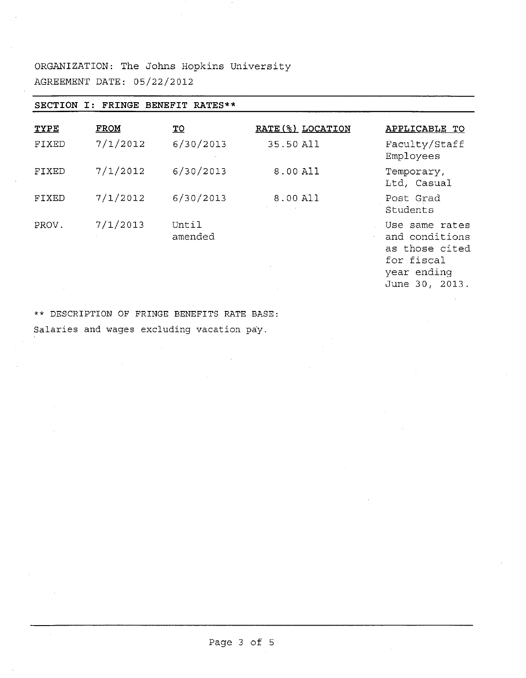ORGANIZATION: The Johns Hopkins University AGREEMENT DATE: 05/22/2012

| FRINGE BENEFIT RATES**<br><b>SECTION</b><br>I: |             |                  |                              |                                                                                 |  |  |  |
|------------------------------------------------|-------------|------------------|------------------------------|---------------------------------------------------------------------------------|--|--|--|
| TYPE                                           | <b>FROM</b> | <u>TO</u>        | RATE (%) LOCATION            | APPLICABLE TO                                                                   |  |  |  |
| FIXED                                          | 7/1/2012    | 6/30/2013        | 35.50 All                    | Faculty/Staff<br>Employees                                                      |  |  |  |
| FIXED                                          | 7/1/2012    | 6/30/2013        | 8.00 All                     | Temporary,<br>Ltd, Casual                                                       |  |  |  |
| FIXED                                          | 7/1/2012    | 6/30/2013        | 8.00 All<br><b>Committee</b> | Post Grad<br>Students                                                           |  |  |  |
| PROV.                                          | 7/1/2013    | Until<br>amended |                              | Use same rates<br>and conditions<br>as those cited<br>for fiscal<br>year ending |  |  |  |

June 30, 2013.

\*\* DESCRIPTION OF FRINGE BENEFITS RATE BASE: Salaries and wages excluding vacation pay.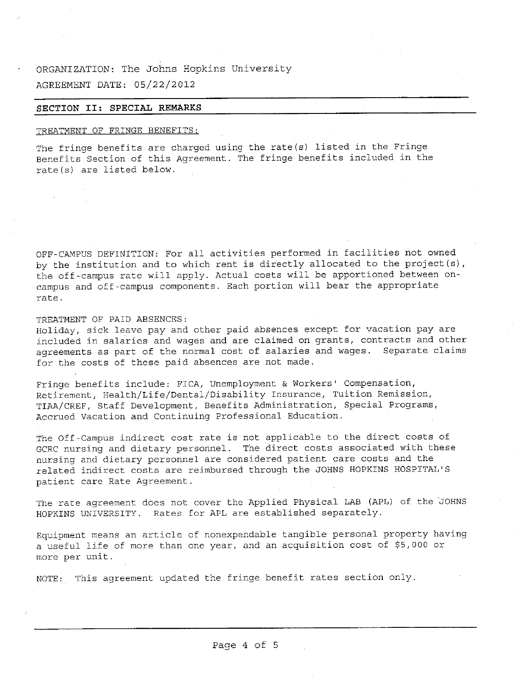# ORGANIZATION: The Johns Hopkins University AGREEMENT DATE: 05/22/2012

### **SECTION II: SPECIAL REMARKS**

### TREATMENT OF FRINGE BENEFITS:

The fringe benefits are charged using the rate(s) listed in the Fringe Benefits Section of this Agreement. The fringe benefits included in the rate(s) are listed below.

OFF-CAMPUS DEFINITION: For all activities performed in facilities not owned by the institution and to which rent is directly allocated to the project(s), the off-campus rate will apply. Actual costs will be apportioned between oncampus and off-campus components. Each portion will bear the appropriate rate.

#### TREATMENT OF PAID ABSENCES:

Holiday, sick leave pay and other paid absences except for vacation pay are included in salaries and wages and are claimed on grants, contracts and other agreements as part of the normal cost of salaries and wages. Separate claims for the costs of these paid absences are not made.

Fringe benefits include: FICA, Unemployment & Workers <sup>1</sup> Compensation, Retirement, Health/Life/Dental/Disability Insurance, Tuition Remission, TIAA/CREF, Staff Development, Benefits Administration, Special Programs, Accrued Vacation and Continuing Professional Education.

The Off-Campus indirect cost rate is not applicable to the direct costs of GCRC nursing and dietary personnel. The direct costs associated with these nursing and dietary personnel are considered patient care costs and the related indirect costs are reimbursed through the JOHNS HOPKINS HOSPITAL' S patient care Rate Agreement.

The rate agreement does not cover the Applied Physical LAB (APL) of the JOHNS HOPKINS UNIVERSITY. Rates for APL are established separately.

Equipment means an article of nonexpendable tangible personal property having <sup>a</sup> useful life of more than one year, and an acquisition cost of \$5,000 or more per unit.

NOTE: This agreement updated the fringe benefit rates section only.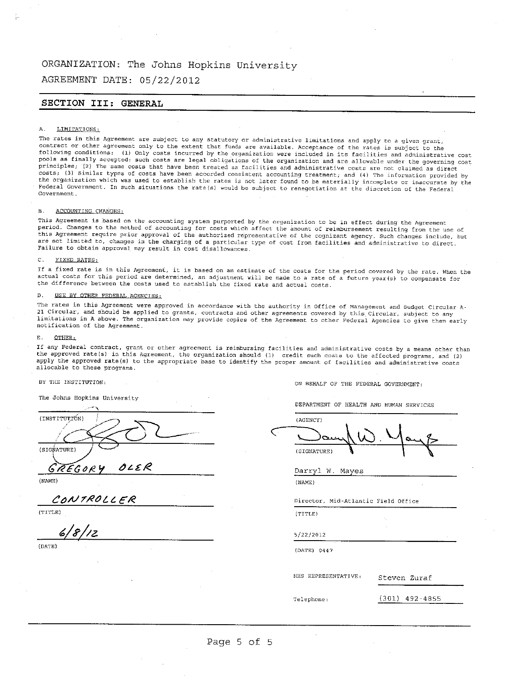# ORGANIZATION: The Johns Hopkins University

AGREEMENT DATE: 05/22/2012

## **SECTION III: GENERAL**

#### A. LIMITATIONS:

The rates in this Agreement are subject to any statutory or administrative limitations and apply to a given grant,<br>contract or other agreement only to the extent that funds are available. Acceptance of the rates is subject following conditions: (1) Only costs incurred by the organization were included in its facilities and administrative cost<br>pools as finally accepted: such costs are legal obligations of the organization and are allowable un costs; (3) Similar types of costs have been accorded consistent accounting treatment; and (4) The information provided by Federal Government. In such situations the rate(s) would be subject to renegotiation at the discretion of the Federal Government.

#### B. ACCOUNTING CHANGES:

This Agreement is based on the accounting system purported by the organization to be in effect during the Agreement<br>period. Changes to the method of accounting for costs which affect the amount of reimbursement resulting f this Agreement require prior approval of the authorized representative of the cognizant agency. Such changes include, but are not limited to, changes in the charging of <sup>a</sup> particular type of cost from facilities and administrative to direct. Failure to obtain approval may result in cost disallowances.

#### C. FIXED RATES:

If <sup>a</sup> fixed rate is in this Agreement, it is based on an estimate of the costs for the period covered by the rate. When the actual costs for this period are determined, an adjustment will be made to <sup>a</sup> rate of <sup>a</sup> future year(s) to compensate for the difference between the costs used to establish the fixed rate and actual costs.

#### D. USE BY OTHER FEDERAL AGENCIES:

The rates in this Agreement were approved in accordance with the authority in Office of Management and Budget Circular <sup>A</sup>-<sup>21</sup> Circular, and should be applied to grants, contracts and other agreements covered by this Circular, subject to any limitations in <sup>A</sup> above. The organization may provide copies of the Agreement to other Federal Agencies to give them early notification of the Agreement.

#### E. OTHER:

If any Federal contract, grant or other agreement is reimbursing facilities and administrative costs by <sup>a</sup> means other than the approved rate(s) in this Agreement, the organization should (1) credit such costs to the affected programs, and (2) apply the approved rate(s) to the appropriate base to identify the proper amount of facilities and administrative costs allocable to these programs.

#### BY THE INSTITUTION:

The Johns Hopkins University

| (INSTITUTIÓN) |      |
|---------------|------|
|               |      |
|               |      |
|               |      |
| (SIGNATURE)   |      |
|               |      |
| <b>REGORY</b> | OLER |

(NAME)

*COAJT/ZOLC e#*

(TITLE)

*6/ f//z*

(DATE)

ON BEHALF OF THE FEDERAL GOVERNMENT:

DEPARTMENT OF HEALTH AND HUMAN SERVICES

(AGENCY) (SIGNATURE)

Darryl <sup>W</sup>. Mayes

(NAME)

Director, Mid -Atlantic Field Office

(TITLE)

5/22/2012

(DATE) 0447

HHS REPRESENTATIVE: Steven Zuraf

Telephone: (301) 492-4855